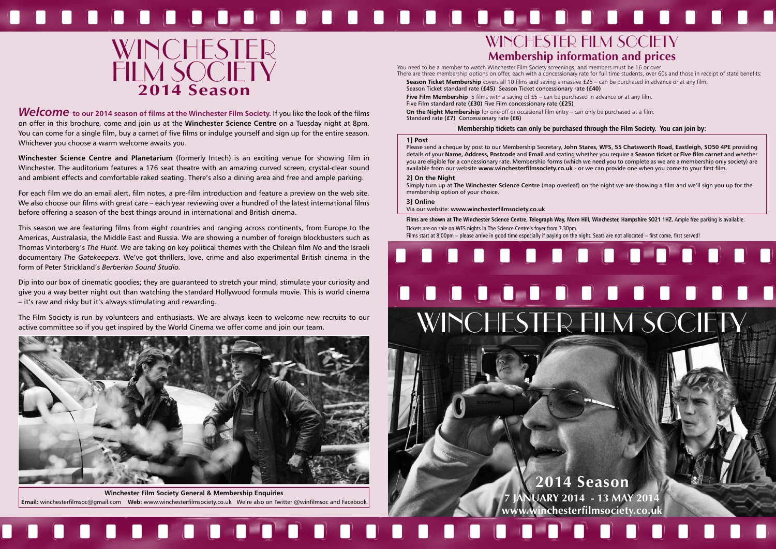# WINCHESTER FILM SOCIETY **Membership information and prices**







**Welcome** to our 2014 season of films at the Winchester Film Society. If you like the look of the films on offer in this brochure, come and join us at the **Winchester Science Centre** on a Tuesday night at 8pm. You can come for a single film, buy a carnet of five films or indulge yourself and sign up for the entire season. Whichever you choose a warm welcome awaits you.

**Winchester Science Centre and Planetarium** (formerly Intech) is an exciting venue for showing film in Winchester. The auditorium features a 176 seat theatre with an amazing curved screen, crystal-clear sound and ambient effects and comfortable raked seating. There's also a dining area and free and ample parking.

For each film we do an email alert, film notes, a pre-film introduction and feature a preview on the web site. We also choose our films with great care – each year reviewing over a hundred of the latest international films before offering a season of the best things around in international and British cinema.

This season we are featuring films from eight countries and ranging across continents, from Europe to the Americas, Australasia, the Middle East and Russia. We are showing a number of foreign blockbusters such as Thomas Vinterberg's *The Hunt.* We are taking on key political themes with the Chilean film *No* and the Israeli documentary *The Gatekeepers*. We've got thrillers, love, crime and also experimental British cinema in the form of Peter Strickland's *Berberian Sound Studio.*

**On the Night Membership** for one-off or occasional film entry – can only be purchased at a film. Standard rat**e (£7)** Concessionary rate **(£6)**

Dip into our box of cinematic goodies; they are guaranteed to stretch your mind, stimulate your curiosity and give you a way better night out than watching the standard Hollywood formula movie. This is world cinema – it's raw and risky but it's always stimulating and rewarding.

The Film Society is run by volunteers and enthusiasts. We are always keen to welcome new recruits to our active committee so if you get inspired by the World Cinema we offer come and join our team.

Films are shown at The Winchester Science Centre, Telegraph Way, Morn Hill, Winchester, Hampshire SO21 1HZ. Ample free parking is available. Tickets are on sale on WFS nights in The Science Centre's foyer from 7.30pm. Films start at 8:00pm – please arrive in good time especially if paying on the night. Seats are not allocated – first come, first served!

## HO<sub>I</sub>



You need to be a member to watch Winchester Film Society screenings, and members must be 16 or over. There are three membership options on offer, each with a concessionary rate for full time students, over 60s and those in receipt of state benefits: **Season Ticket Membership** covers all 10 films and saving a massive £25 – can be purchased in advance or at any film.

Season Ticket standard rate **(£45)** Season Ticket concessionary rate **(£40) Five Film Membership** 5 films with a saving of £5 – can be purchased in advance or at any film. Five Film standard rate **(£30)** Five Film concessionary rate **(£25)**

#### **Membership tickets can only be purchased through the Film Society. You can join by:**

#### **1] Post**

Please send a cheque by post to our Membership Secretary, **John Stares, WFS, 55 Chatsworth Road, Eastleigh, SO50 4PE** providing details of your **Name, Address, Postcode** and **Email** and stating whether you require a **Season ticket** or **Five film carnet** and whether you are eligible for a concessionary rate. Membership forms (which we need you to complete as we are a membership only society) are available from our website **www.winchesterfilmsociety.co.uk** - or we can provide one when you come to your first film.

#### **2] On the Night**

Simply turn up at **The Winchester Science Centre** (map overleaf) on the night we are showing a film and we'll sign you up for the membership option of your choice.

**3] Online**

Via our website: **www.winchesterfilmsociety.co.uk**



**Winchester Film Society General & Membership Enquiries Email:** winchesterfilmsoc@gmail.com **Web:** www.winchesterfilmsociety.co.uk We're also on Twitter @winfilmsoc and Facebook